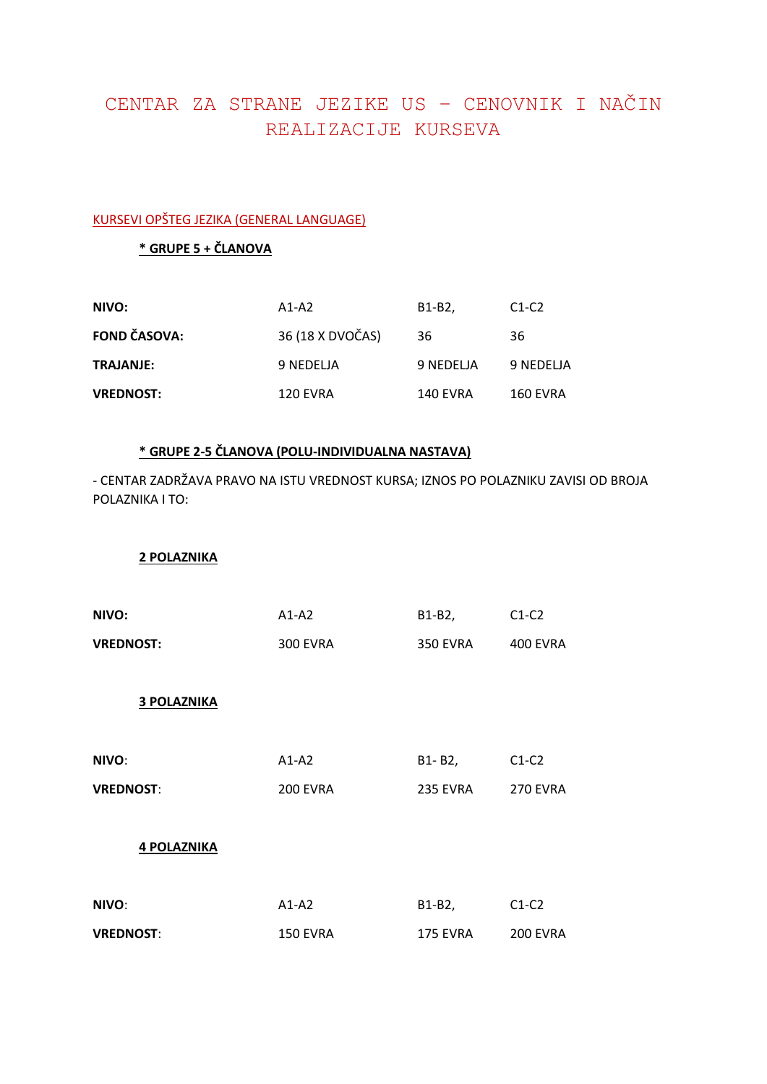# CENTAR ZA STRANE JEZIKE US – CENOVNIK I NAČIN REALIZACIJE KURSEVA

#### KURSEVI OPŠTEG JEZIKA (GENERAL LANGUAGE)

## **\* GRUPE 5 + ČLANOVA**

| NIVO:               | $A1-A2$          | B <sub>1</sub> -B <sub>2</sub> . | $C1-C2$   |
|---------------------|------------------|----------------------------------|-----------|
| <b>FOND ČASOVA:</b> | 36 (18 X DVOČAS) | 36                               | 36        |
| <b>TRAJANJE:</b>    | 9 NEDELJA        | 9 NEDELJA                        | 9 NEDELJA |
| <b>VREDNOST:</b>    | <b>120 EVRA</b>  | 140 EVRA                         | 160 EVRA  |

## **\* GRUPE 2-5 ČLANOVA (POLU-INDIVIDUALNA NASTAVA)**

- CENTAR ZADRŽAVA PRAVO NA ISTU VREDNOST KURSA; IZNOS PO POLAZNIKU ZAVISI OD BROJA POLAZNIKA I TO:

**2 POLAZNIKA**

| NIVO:              | $A1-A2$         | B1-B2,          | $C1-C2$         |
|--------------------|-----------------|-----------------|-----------------|
| <b>VREDNOST:</b>   | <b>300 EVRA</b> | <b>350 EVRA</b> | <b>400 EVRA</b> |
| <b>3 POLAZNIKA</b> |                 |                 |                 |
| NIVO:              | $A1-A2$         | B1-B2,          | $C1-C2$         |
| <b>VREDNOST:</b>   | <b>200 EVRA</b> | 235 EVRA        | <b>270 EVRA</b> |
| <b>4 POLAZNIKA</b> |                 |                 |                 |
| NIVO:              | $A1-A2$         | B1-B2,          | $C1-C2$         |
| <b>VREDNOST:</b>   | <b>150 EVRA</b> | 175 EVRA        | <b>200 EVRA</b> |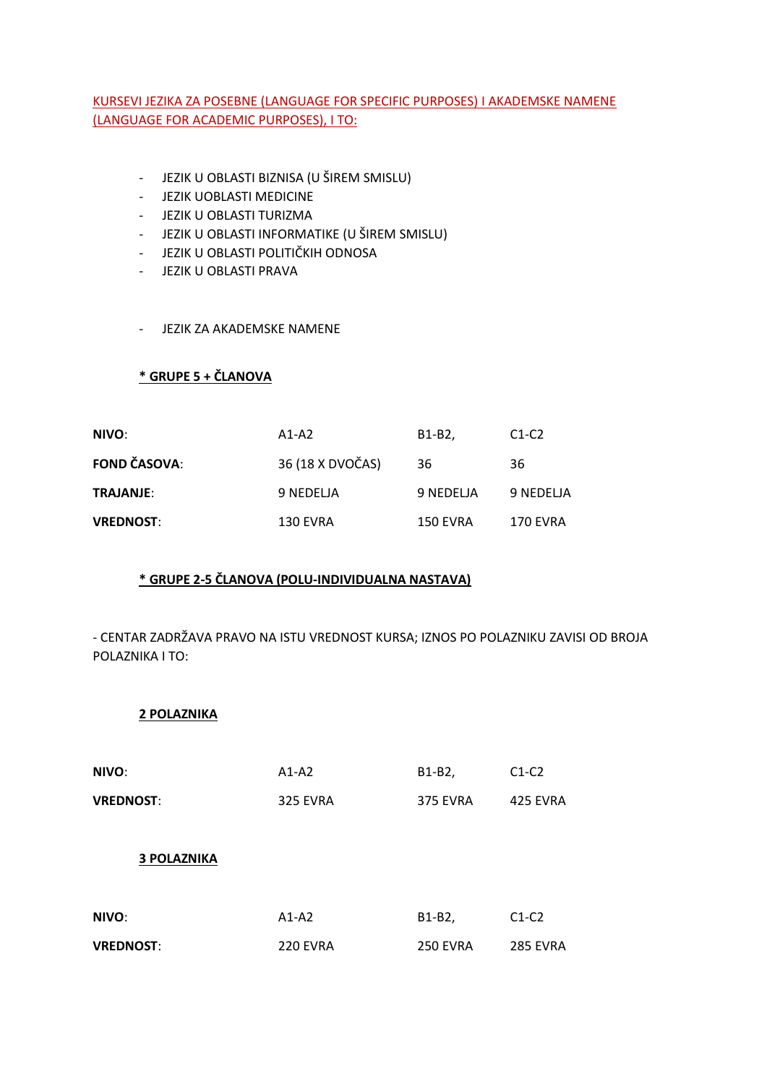#### KURSEVI JEZIKA ZA POSEBNE (LANGUAGE FOR SPECIFIC PURPOSES) I AKADEMSKE NAMENE (LANGUAGE FOR ACADEMIC PURPOSES), I TO:

- JEZIK U OBLASTI BIZNISA (U ŠIREM SMISLU)
- JEZIK UOBLASTI MEDICINE
- JEZIK U OBLASTI TURIZMA
- JEZIK U OBLASTI INFORMATIKE (U ŠIREM SMISLU)
- JEZIK U OBLASTI POLITIČKIH ODNOSA
- JEZIK U OBLASTI PRAVA
- JEZIK ZA AKADEMSKE NAMENE

## **\* GRUPE 5 + ČLANOVA**

| NIVO:               | $A1-A2$          | B <sub>1</sub> -B <sub>2</sub> | $C1-C2$         |
|---------------------|------------------|--------------------------------|-----------------|
| <b>FOND ČASOVA:</b> | 36 (18 X DVOČAS) | 36                             | 36              |
| <b>TRAJANJE:</b>    | 9 NEDELJA        | 9 NEDELJA                      | 9 NEDELJA       |
| <b>VREDNOST:</b>    | <b>130 EVRA</b>  | 150 EVRA                       | <b>170 EVRA</b> |

#### **\* GRUPE 2-5 ČLANOVA (POLU-INDIVIDUALNA NASTAVA)**

- CENTAR ZADRŽAVA PRAVO NA ISTU VREDNOST KURSA; IZNOS PO POLAZNIKU ZAVISI OD BROJA POLAZNIKA I TO:

**2 POLAZNIKA**

| NIVO:              | $A1-A2$         | B1-B2,          | $C1-C2$         |
|--------------------|-----------------|-----------------|-----------------|
| <b>VREDNOST:</b>   | <b>325 EVRA</b> | <b>375 EVRA</b> | 425 EVRA        |
|                    |                 |                 |                 |
| <b>3 POLAZNIKA</b> |                 |                 |                 |
|                    |                 |                 |                 |
| NIVO:              | $A1-A2$         | B1-B2,          | $C1-C2$         |
| <b>VREDNOST:</b>   | 220 EVRA        | <b>250 EVRA</b> | <b>285 EVRA</b> |